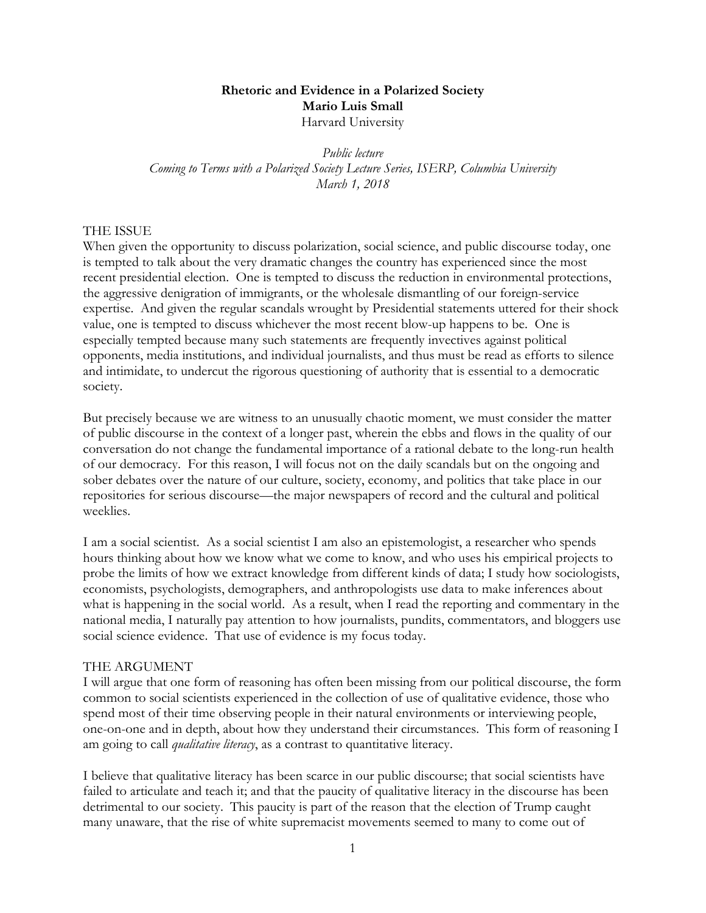# **Rhetoric and Evidence in a Polarized Society Mario Luis Small** Harvard University

*Public lecture Coming to Terms with a Polarized Society Lecture Series, ISERP, Columbia University March 1, 2018*

### THE ISSUE

When given the opportunity to discuss polarization, social science, and public discourse today, one is tempted to talk about the very dramatic changes the country has experienced since the most recent presidential election. One is tempted to discuss the reduction in environmental protections, the aggressive denigration of immigrants, or the wholesale dismantling of our foreign-service expertise. And given the regular scandals wrought by Presidential statements uttered for their shock value, one is tempted to discuss whichever the most recent blow-up happens to be. One is especially tempted because many such statements are frequently invectives against political opponents, media institutions, and individual journalists, and thus must be read as efforts to silence and intimidate, to undercut the rigorous questioning of authority that is essential to a democratic society.

But precisely because we are witness to an unusually chaotic moment, we must consider the matter of public discourse in the context of a longer past, wherein the ebbs and flows in the quality of our conversation do not change the fundamental importance of a rational debate to the long-run health of our democracy. For this reason, I will focus not on the daily scandals but on the ongoing and sober debates over the nature of our culture, society, economy, and politics that take place in our repositories for serious discourse—the major newspapers of record and the cultural and political weeklies.

I am a social scientist. As a social scientist I am also an epistemologist, a researcher who spends hours thinking about how we know what we come to know, and who uses his empirical projects to probe the limits of how we extract knowledge from different kinds of data; I study how sociologists, economists, psychologists, demographers, and anthropologists use data to make inferences about what is happening in the social world. As a result, when I read the reporting and commentary in the national media, I naturally pay attention to how journalists, pundits, commentators, and bloggers use social science evidence. That use of evidence is my focus today.

#### THE ARGUMENT

I will argue that one form of reasoning has often been missing from our political discourse, the form common to social scientists experienced in the collection of use of qualitative evidence, those who spend most of their time observing people in their natural environments or interviewing people, one-on-one and in depth, about how they understand their circumstances. This form of reasoning I am going to call *qualitative literacy*, as a contrast to quantitative literacy.

I believe that qualitative literacy has been scarce in our public discourse; that social scientists have failed to articulate and teach it; and that the paucity of qualitative literacy in the discourse has been detrimental to our society. This paucity is part of the reason that the election of Trump caught many unaware, that the rise of white supremacist movements seemed to many to come out of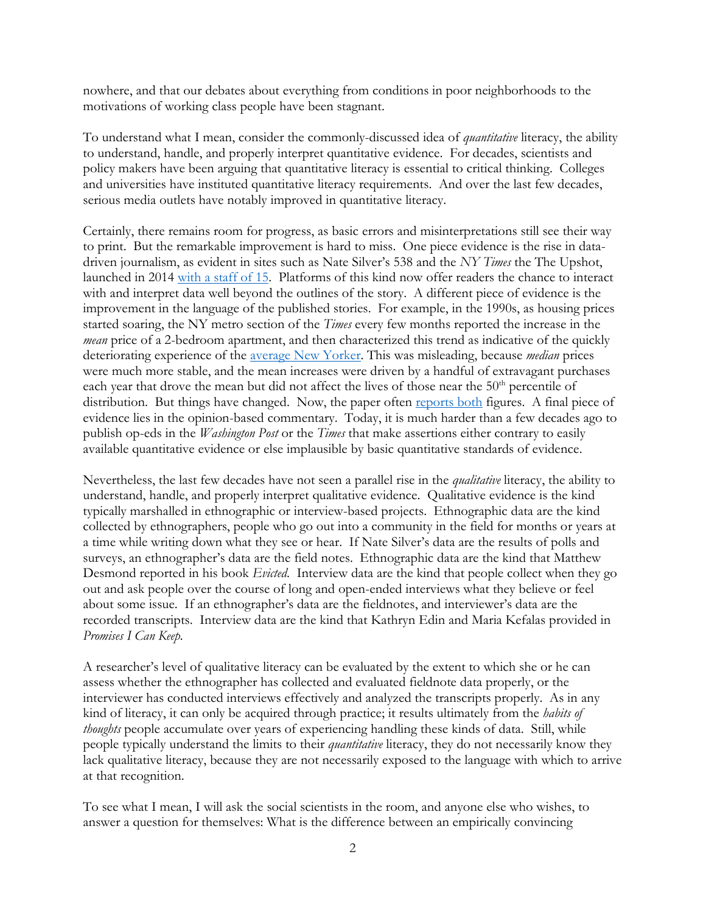nowhere, and that our debates about everything from conditions in poor neighborhoods to the motivations of working class people have been stagnant.

To understand what I mean, consider the commonly-discussed idea of *quantitative* literacy, the ability to understand, handle, and properly interpret quantitative evidence. For decades, scientists and policy makers have been arguing that quantitative literacy is essential to critical thinking. Colleges and universities have instituted quantitative literacy requirements. And over the last few decades, serious media outlets have notably improved in quantitative literacy.

Certainly, there remains room for progress, as basic errors and misinterpretations still see their way to print. But the remarkable improvement is hard to miss. One piece evidence is the rise in datadriven journalism, as evident in sites such as Nate Silver's 538 and the *NY Times* the The Upshot, launched in 2014 [with a staff of 15.](https://qz.com/185922/the-upshot-is-the-new-york-times-replacement-for-nate-silvers-fivethirtyeight/) Platforms of this kind now offer readers the chance to interact with and interpret data well beyond the outlines of the story. A different piece of evidence is the improvement in the language of the published stories. For example, in the 1990s, as housing prices started soaring, the NY metro section of the *Times* every few months reported the increase in the *mean* price of a 2-bedroom apartment, and then characterized this trend as indicative of the quickly deteriorating experience of the [average New Yorker.](http://www.nytimes.com/2000/11/10/nyregion/residential-real-estate-manhattan-rents-go-ever-upward.html) This was misleading, because *median* prices were much more stable, and the mean increases were driven by a handful of extravagant purchases each year that drove the mean but did not affect the lives of those near the  $50<sup>th</sup>$  percentile of distribution. But things have changed. Now, the paper often [reports both](https://www.nytimes.com/2018/02/08/realestate/rent-increases-2017.html) figures. A final piece of evidence lies in the opinion-based commentary. Today, it is much harder than a few decades ago to publish op-eds in the *Washington Post* or the *Times* that make assertions either contrary to easily available quantitative evidence or else implausible by basic quantitative standards of evidence.

Nevertheless, the last few decades have not seen a parallel rise in the *qualitative* literacy, the ability to understand, handle, and properly interpret qualitative evidence. Qualitative evidence is the kind typically marshalled in ethnographic or interview-based projects. Ethnographic data are the kind collected by ethnographers, people who go out into a community in the field for months or years at a time while writing down what they see or hear. If Nate Silver's data are the results of polls and surveys, an ethnographer's data are the field notes. Ethnographic data are the kind that Matthew Desmond reported in his book *Evicted*. Interview data are the kind that people collect when they go out and ask people over the course of long and open-ended interviews what they believe or feel about some issue. If an ethnographer's data are the fieldnotes, and interviewer's data are the recorded transcripts. Interview data are the kind that Kathryn Edin and Maria Kefalas provided in *Promises I Can Keep.* 

A researcher's level of qualitative literacy can be evaluated by the extent to which she or he can assess whether the ethnographer has collected and evaluated fieldnote data properly, or the interviewer has conducted interviews effectively and analyzed the transcripts properly. As in any kind of literacy, it can only be acquired through practice; it results ultimately from the *habits of thoughts* people accumulate over years of experiencing handling these kinds of data. Still, while people typically understand the limits to their *quantitative* literacy, they do not necessarily know they lack qualitative literacy, because they are not necessarily exposed to the language with which to arrive at that recognition.

To see what I mean, I will ask the social scientists in the room, and anyone else who wishes, to answer a question for themselves: What is the difference between an empirically convincing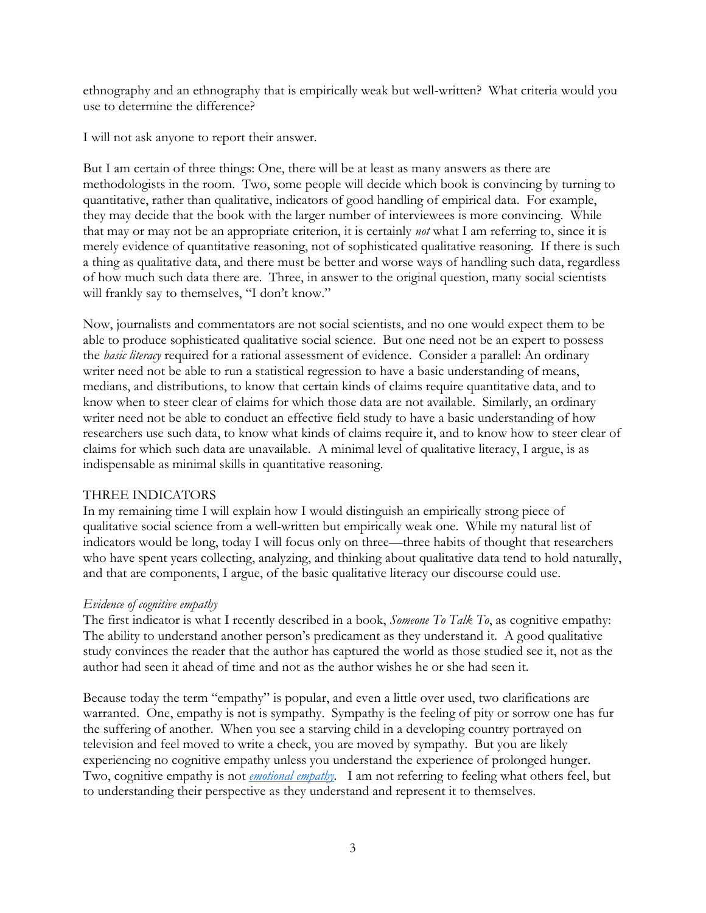ethnography and an ethnography that is empirically weak but well-written? What criteria would you use to determine the difference?

I will not ask anyone to report their answer.

But I am certain of three things: One, there will be at least as many answers as there are methodologists in the room. Two, some people will decide which book is convincing by turning to quantitative, rather than qualitative, indicators of good handling of empirical data. For example, they may decide that the book with the larger number of interviewees is more convincing. While that may or may not be an appropriate criterion, it is certainly *not* what I am referring to, since it is merely evidence of quantitative reasoning, not of sophisticated qualitative reasoning. If there is such a thing as qualitative data, and there must be better and worse ways of handling such data, regardless of how much such data there are. Three, in answer to the original question, many social scientists will frankly say to themselves, "I don't know."

Now, journalists and commentators are not social scientists, and no one would expect them to be able to produce sophisticated qualitative social science. But one need not be an expert to possess the *basic literacy* required for a rational assessment of evidence. Consider a parallel: An ordinary writer need not be able to run a statistical regression to have a basic understanding of means, medians, and distributions, to know that certain kinds of claims require quantitative data, and to know when to steer clear of claims for which those data are not available. Similarly, an ordinary writer need not be able to conduct an effective field study to have a basic understanding of how researchers use such data, to know what kinds of claims require it, and to know how to steer clear of claims for which such data are unavailable. A minimal level of qualitative literacy, I argue, is as indispensable as minimal skills in quantitative reasoning.

# THREE INDICATORS

In my remaining time I will explain how I would distinguish an empirically strong piece of qualitative social science from a well-written but empirically weak one. While my natural list of indicators would be long, today I will focus only on three—three habits of thought that researchers who have spent years collecting, analyzing, and thinking about qualitative data tend to hold naturally, and that are components, I argue, of the basic qualitative literacy our discourse could use.

# *Evidence of cognitive empathy*

The first indicator is what I recently described in a book, *Someone To Talk To*, as cognitive empathy: The ability to understand another person's predicament as they understand it. A good qualitative study convinces the reader that the author has captured the world as those studied see it, not as the author had seen it ahead of time and not as the author wishes he or she had seen it.

Because today the term "empathy" is popular, and even a little over used, two clarifications are warranted. One, empathy is not is sympathy. Sympathy is the feeling of pity or sorrow one has fur the suffering of another. When you see a starving child in a developing country portrayed on television and feel moved to write a check, you are moved by sympathy. But you are likely experiencing no cognitive empathy unless you understand the experience of prolonged hunger. Two, cognitive empathy is not *[emotional empathy.](https://www.harpercollins.com/9780062339355/against-empathy)* I am not referring to feeling what others feel, but to understanding their perspective as they understand and represent it to themselves.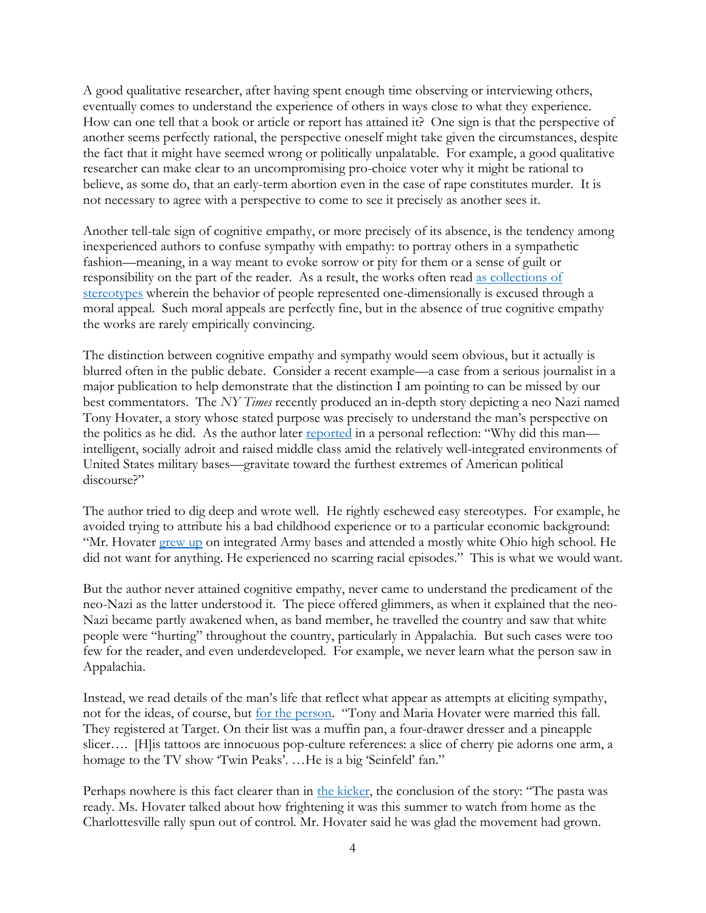A good qualitative researcher, after having spent enough time observing or interviewing others, eventually comes to understand the experience of others in ways close to what they experience. How can one tell that a book or article or report has attained it? One sign is that the perspective of another seems perfectly rational, the perspective oneself might take given the circumstances, despite the fact that it might have seemed wrong or politically unpalatable. For example, a good qualitative researcher can make clear to an uncompromising pro-choice voter why it might be rational to believe, as some do, that an early-term abortion even in the case of rape constitutes murder. It is not necessary to agree with a perspective to come to see it precisely as another sees it.

Another tell-tale sign of cognitive empathy, or more precisely of its absence, is the tendency among inexperienced authors to confuse sympathy with empathy: to portray others in a sympathetic fashion—meaning, in a way meant to evoke sorrow or pity for them or a sense of guilt or responsibility on the part of the reader. As a result, the works often read [as collections of](http://onlinelibrary.wiley.com/doi/10.1111/cico.12137/full)  [stereotypes](http://onlinelibrary.wiley.com/doi/10.1111/cico.12137/full) wherein the behavior of people represented one-dimensionally is excused through a moral appeal. Such moral appeals are perfectly fine, but in the absence of true cognitive empathy the works are rarely empirically convincing.

The distinction between cognitive empathy and sympathy would seem obvious, but it actually is blurred often in the public debate. Consider a recent example—a case from a serious journalist in a major publication to help demonstrate that the distinction I am pointing to can be missed by our best commentators. The *NY Times* recently produced an in-depth story depicting a neo Nazi named Tony Hovater, a story whose stated purpose was precisely to understand the man's perspective on the politics as he did. As the author later [reported](https://nyti.ms/2i621hr) in a personal reflection: "Why did this man intelligent, socially adroit and raised middle class amid the relatively well-integrated environments of United States military bases—gravitate toward the furthest extremes of American political discourse?"

The author tried to dig deep and wrote well. He rightly eschewed easy stereotypes. For example, he avoided trying to attribute his a bad childhood experience or to a particular economic background: "Mr. Hovater [grew up](https://nyti.ms/2k0N8NF) on integrated Army bases and attended a mostly white Ohio high school. He did not want for anything. He experienced no scarring racial episodes." This is what we would want.

But the author never attained cognitive empathy, never came to understand the predicament of the neo-Nazi as the latter understood it. The piece offered glimmers, as when it explained that the neo-Nazi became partly awakened when, as band member, he travelled the country and saw that white people were "hurting" throughout the country, particularly in Appalachia. But such cases were too few for the reader, and even underdeveloped. For example, we never learn what the person saw in Appalachia.

Instead, we read details of the man's life that reflect what appear as attempts at eliciting sympathy, not for the ideas, of course, but <u>for the person</u>. "Tony and Maria Hovater were married this fall. They registered at Target. On their list was a muffin pan, a four-drawer dresser and a pineapple slicer…. [H]is tattoos are innocuous pop-culture references: a slice of cherry pie adorns one arm, a homage to the TV show 'Twin Peaks'. …He is a big 'Seinfeld' fan."

Perhaps nowhere is this fact clearer than in [the kicker,](https://nyti.ms/2k0N8NF)) the conclusion of the story: "The pasta was ready. Ms. Hovater talked about how frightening it was this summer to watch from home as the Charlottesville rally spun out of control. Mr. Hovater said he was glad the movement had grown.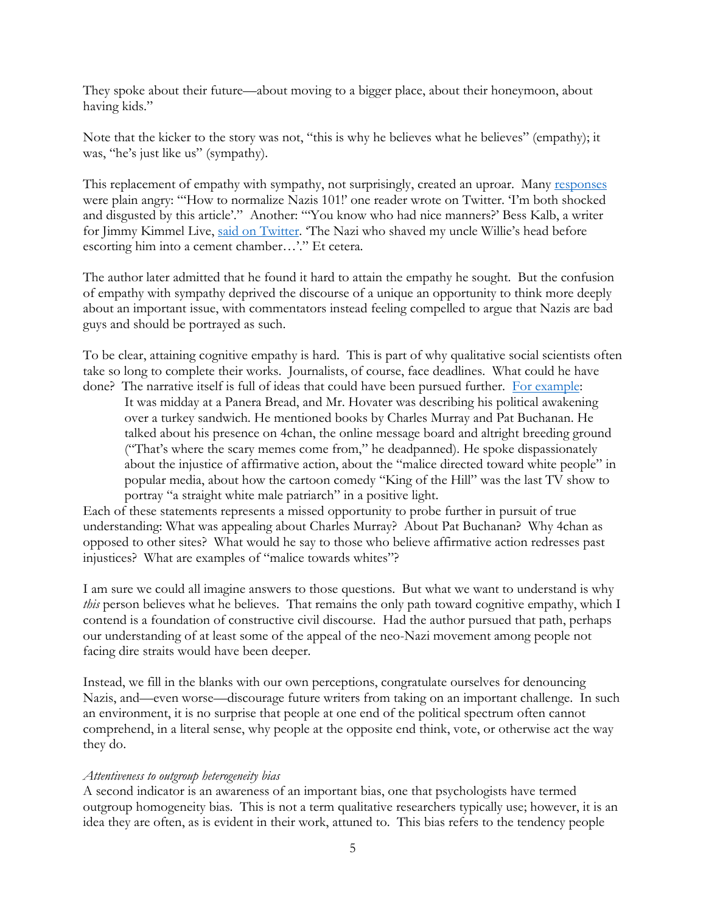They spoke about their future—about moving to a bigger place, about their honeymoon, about having kids."

Note that the kicker to the story was not, "this is why he believes what he believes" (empathy); it was, "he's just like us" (sympathy).

This replacement of empathy with sympathy, not surprisingly, created an uproar. Many [responses](https://nyti.ms/2i8II79) were plain angry: "'How to normalize Nazis 101!' one reader wrote on Twitter. 'I'm both shocked and disgusted by this article'." Another: "'You know who had nice manners?' Bess Kalb, a writer for Jimmy Kimmel Live, [said on Twitter.](https://twitter.com/bessbell/status/934525910610534401) 'The Nazi who shaved my uncle Willie's head before escorting him into a cement chamber…'." Et cetera.

The author later admitted that he found it hard to attain the empathy he sought. But the confusion of empathy with sympathy deprived the discourse of a unique an opportunity to think more deeply about an important issue, with commentators instead feeling compelled to argue that Nazis are bad guys and should be portrayed as such.

To be clear, attaining cognitive empathy is hard. This is part of why qualitative social scientists often take so long to complete their works. Journalists, of course, face deadlines. What could he have done? The narrative itself is full of ideas that could have been pursued further. [For example:](https://nyti.ms/2k0N8NF))

It was midday at a Panera Bread, and Mr. Hovater was describing his political awakening over a turkey sandwich. He mentioned books by Charles Murray and Pat Buchanan. He talked about his presence on 4chan, the online message board and altright breeding ground ("That's where the scary memes come from," he deadpanned). He spoke dispassionately about the injustice of affirmative action, about the "malice directed toward white people" in popular media, about how the cartoon comedy "King of the Hill" was the last TV show to portray "a straight white male patriarch" in a positive light.

Each of these statements represents a missed opportunity to probe further in pursuit of true understanding: What was appealing about Charles Murray? About Pat Buchanan? Why 4chan as opposed to other sites? What would he say to those who believe affirmative action redresses past injustices? What are examples of "malice towards whites"?

I am sure we could all imagine answers to those questions. But what we want to understand is why *this* person believes what he believes. That remains the only path toward cognitive empathy, which I contend is a foundation of constructive civil discourse. Had the author pursued that path, perhaps our understanding of at least some of the appeal of the neo-Nazi movement among people not facing dire straits would have been deeper.

Instead, we fill in the blanks with our own perceptions, congratulate ourselves for denouncing Nazis, and—even worse—discourage future writers from taking on an important challenge. In such an environment, it is no surprise that people at one end of the political spectrum often cannot comprehend, in a literal sense, why people at the opposite end think, vote, or otherwise act the way they do.

### *Attentiveness to outgroup heterogeneity bias*

A second indicator is an awareness of an important bias, one that psychologists have termed outgroup homogeneity bias. This is not a term qualitative researchers typically use; however, it is an idea they are often, as is evident in their work, attuned to. This bias refers to the tendency people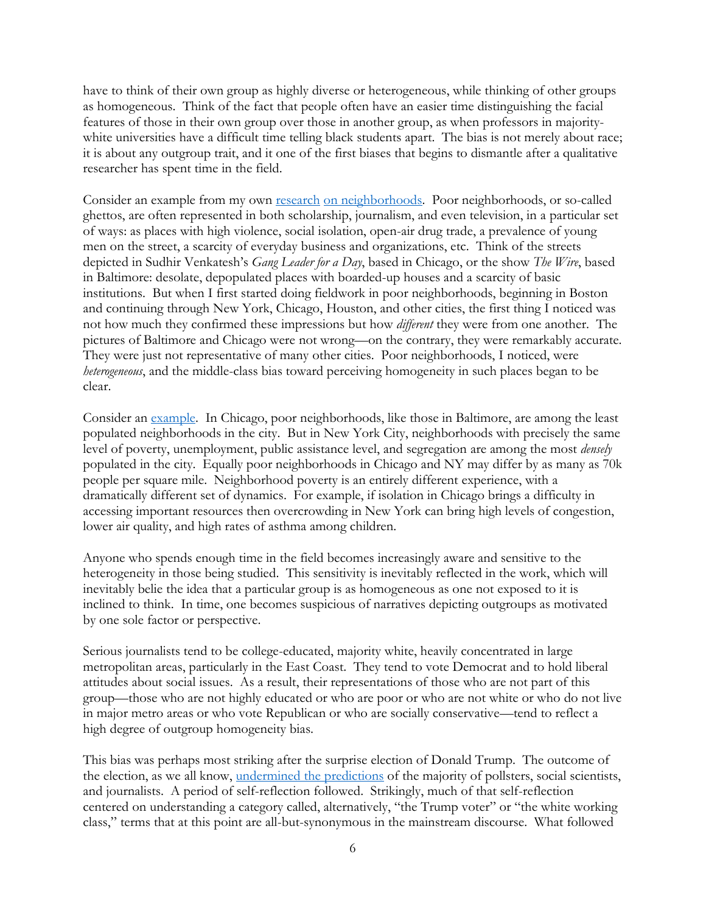have to think of their own group as highly diverse or heterogeneous, while thinking of other groups as homogeneous. Think of the fact that people often have an easier time distinguishing the facial features of those in their own group over those in another group, as when professors in majoritywhite universities have a difficult time telling black students apart. The bias is not merely about race; it is about any outgroup trait, and it one of the first biases that begins to dismantle after a qualitative researcher has spent time in the field.

Consider an example from my own [research](http://onlinelibrary.wiley.com/doi/10.1111/j.1540-6040.2008.00271_8.x/full) [on neighborhoods.](https://scholar.harvard.edu/files/mariosmall/files/smallfeldman_2012_prepubversion.pdf) Poor neighborhoods, or so-called ghettos, are often represented in both scholarship, journalism, and even television, in a particular set of ways: as places with high violence, social isolation, open-air drug trade, a prevalence of young men on the street, a scarcity of everyday business and organizations, etc. Think of the streets depicted in Sudhir Venkatesh's *Gang Leader for a Day*, based in Chicago, or the show *The Wire*, based in Baltimore: desolate, depopulated places with boarded-up houses and a scarcity of basic institutions. But when I first started doing fieldwork in poor neighborhoods, beginning in Boston and continuing through New York, Chicago, Houston, and other cities, the first thing I noticed was not how much they confirmed these impressions but how *different* they were from one another. The pictures of Baltimore and Chicago were not wrong—on the contrary, they were remarkably accurate. They were just not representative of many other cities. Poor neighborhoods, I noticed, were *heterogeneous*, and the middle-class bias toward perceiving homogeneity in such places began to be clear.

Consider an [example.](https://www.chronicle.com/article/No-Two-Ghettos-Are-Alike/145301) In Chicago, poor neighborhoods, like those in Baltimore, are among the least populated neighborhoods in the city. But in New York City, neighborhoods with precisely the same level of poverty, unemployment, public assistance level, and segregation are among the most *densely* populated in the city. Equally poor neighborhoods in Chicago and NY may differ by as many as 70k people per square mile. Neighborhood poverty is an entirely different experience, with a dramatically different set of dynamics. For example, if isolation in Chicago brings a difficulty in accessing important resources then overcrowding in New York can bring high levels of congestion, lower air quality, and high rates of asthma among children.

Anyone who spends enough time in the field becomes increasingly aware and sensitive to the heterogeneity in those being studied. This sensitivity is inevitably reflected in the work, which will inevitably belie the idea that a particular group is as homogeneous as one not exposed to it is inclined to think. In time, one becomes suspicious of narratives depicting outgroups as motivated by one sole factor or perspective.

Serious journalists tend to be college-educated, majority white, heavily concentrated in large metropolitan areas, particularly in the East Coast. They tend to vote Democrat and to hold liberal attitudes about social issues. As a result, their representations of those who are not part of this group—those who are not highly educated or who are poor or who are not white or who do not live in major metro areas or who vote Republican or who are socially conservative—tend to reflect a high degree of outgroup homogeneity bias.

This bias was perhaps most striking after the surprise election of Donald Trump. The outcome of the election, as we all know, [undermined the predictions](http://time.com/4563946/election-2016-donald-trump-victory-how/) of the majority of pollsters, social scientists, and journalists. A period of self-reflection followed. Strikingly, much of that self-reflection centered on understanding a category called, alternatively, "the Trump voter" or "the white working class," terms that at this point are all-but-synonymous in the mainstream discourse. What followed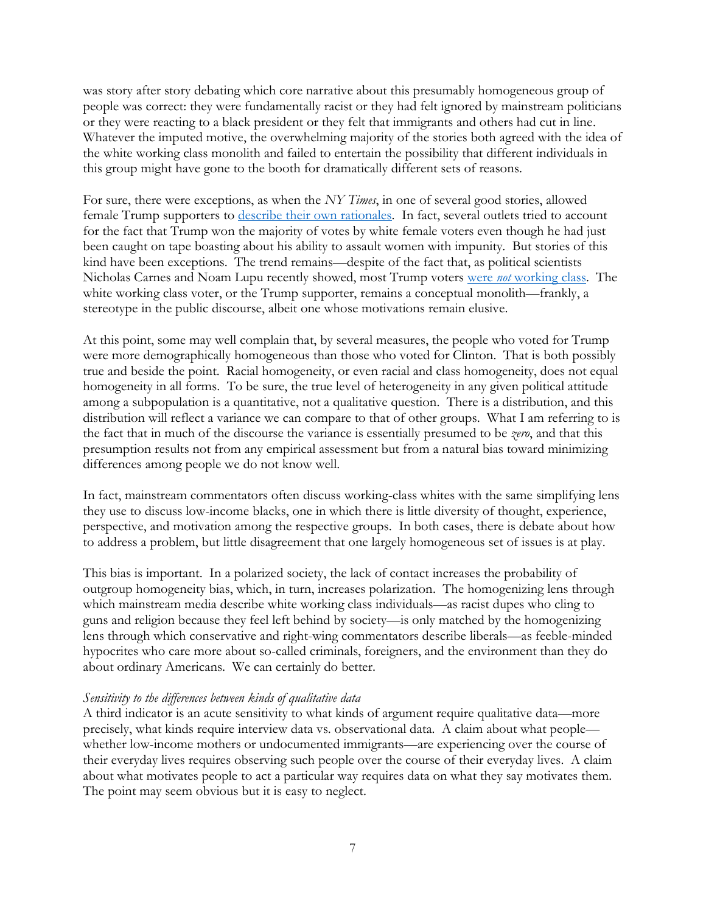was story after story debating which core narrative about this presumably homogeneous group of people was correct: they were fundamentally racist or they had felt ignored by mainstream politicians or they were reacting to a black president or they felt that immigrants and others had cut in line. Whatever the imputed motive, the overwhelming majority of the stories both agreed with the idea of the white working class monolith and failed to entertain the possibility that different individuals in this group might have gone to the booth for dramatically different sets of reasons.

For sure, there were exceptions, as when the *NY Times*, in one of several good stories, allowed female Trump supporters to [describe their own rationales.](https://www.nytimes.com/2016/11/11/us/politics/the-women-who-helped-donald-trump-to-victory.html) In fact, several outlets tried to account for the fact that Trump won the majority of votes by white female voters even though he had just been caught on tape boasting about his ability to assault women with impunity. But stories of this kind have been exceptions. The trend remains—despite of the fact that, as political scientists Nicholas Carnes and Noam Lupu recently showed, most Trump voters were *not* [working class.](https://www.washingtonpost.com/news/monkey-cage/wp/2017/06/05/its-time-to-bust-the-myth-most-trump-voters-were-not-working-class/) The white working class voter, or the Trump supporter, remains a conceptual monolith—frankly, a stereotype in the public discourse, albeit one whose motivations remain elusive.

At this point, some may well complain that, by several measures, the people who voted for Trump were more demographically homogeneous than those who voted for Clinton. That is both possibly true and beside the point. Racial homogeneity, or even racial and class homogeneity, does not equal homogeneity in all forms. To be sure, the true level of heterogeneity in any given political attitude among a subpopulation is a quantitative, not a qualitative question. There is a distribution, and this distribution will reflect a variance we can compare to that of other groups. What I am referring to is the fact that in much of the discourse the variance is essentially presumed to be *zero*, and that this presumption results not from any empirical assessment but from a natural bias toward minimizing differences among people we do not know well.

In fact, mainstream commentators often discuss working-class whites with the same simplifying lens they use to discuss low-income blacks, one in which there is little diversity of thought, experience, perspective, and motivation among the respective groups. In both cases, there is debate about how to address a problem, but little disagreement that one largely homogeneous set of issues is at play.

This bias is important. In a polarized society, the lack of contact increases the probability of outgroup homogeneity bias, which, in turn, increases polarization. The homogenizing lens through which mainstream media describe white working class individuals—as racist dupes who cling to guns and religion because they feel left behind by society—is only matched by the homogenizing lens through which conservative and right-wing commentators describe liberals—as feeble-minded hypocrites who care more about so-called criminals, foreigners, and the environment than they do about ordinary Americans. We can certainly do better.

### *Sensitivity to the differences between kinds of qualitative data*

A third indicator is an acute sensitivity to what kinds of argument require qualitative data—more precisely, what kinds require interview data vs. observational data. A claim about what people whether low-income mothers or undocumented immigrants—are experiencing over the course of their everyday lives requires observing such people over the course of their everyday lives. A claim about what motivates people to act a particular way requires data on what they say motivates them. The point may seem obvious but it is easy to neglect.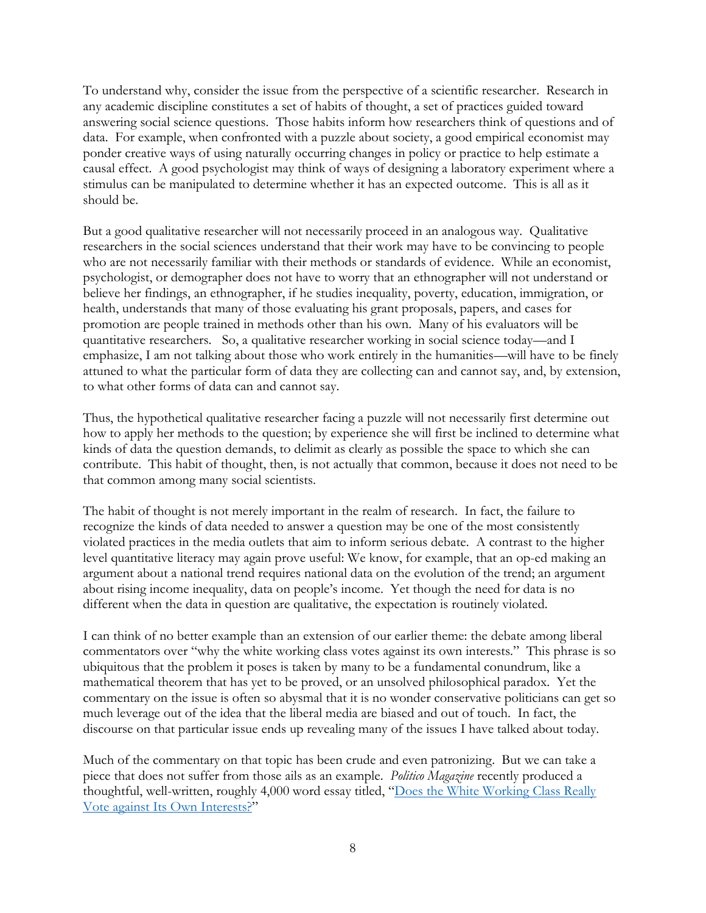To understand why, consider the issue from the perspective of a scientific researcher. Research in any academic discipline constitutes a set of habits of thought, a set of practices guided toward answering social science questions. Those habits inform how researchers think of questions and of data. For example, when confronted with a puzzle about society, a good empirical economist may ponder creative ways of using naturally occurring changes in policy or practice to help estimate a causal effect. A good psychologist may think of ways of designing a laboratory experiment where a stimulus can be manipulated to determine whether it has an expected outcome. This is all as it should be.

But a good qualitative researcher will not necessarily proceed in an analogous way. Qualitative researchers in the social sciences understand that their work may have to be convincing to people who are not necessarily familiar with their methods or standards of evidence. While an economist, psychologist, or demographer does not have to worry that an ethnographer will not understand or believe her findings, an ethnographer, if he studies inequality, poverty, education, immigration, or health, understands that many of those evaluating his grant proposals, papers, and cases for promotion are people trained in methods other than his own. Many of his evaluators will be quantitative researchers. So, a qualitative researcher working in social science today—and I emphasize, I am not talking about those who work entirely in the humanities—will have to be finely attuned to what the particular form of data they are collecting can and cannot say, and, by extension, to what other forms of data can and cannot say.

Thus, the hypothetical qualitative researcher facing a puzzle will not necessarily first determine out how to apply her methods to the question; by experience she will first be inclined to determine what kinds of data the question demands, to delimit as clearly as possible the space to which she can contribute. This habit of thought, then, is not actually that common, because it does not need to be that common among many social scientists.

The habit of thought is not merely important in the realm of research. In fact, the failure to recognize the kinds of data needed to answer a question may be one of the most consistently violated practices in the media outlets that aim to inform serious debate. A contrast to the higher level quantitative literacy may again prove useful: We know, for example, that an op-ed making an argument about a national trend requires national data on the evolution of the trend; an argument about rising income inequality, data on people's income. Yet though the need for data is no different when the data in question are qualitative, the expectation is routinely violated.

I can think of no better example than an extension of our earlier theme: the debate among liberal commentators over "why the white working class votes against its own interests." This phrase is so ubiquitous that the problem it poses is taken by many to be a fundamental conundrum, like a mathematical theorem that has yet to be proved, or an unsolved philosophical paradox. Yet the commentary on the issue is often so abysmal that it is no wonder conservative politicians can get so much leverage out of the idea that the liberal media are biased and out of touch. In fact, the discourse on that particular issue ends up revealing many of the issues I have talked about today.

Much of the commentary on that topic has been crude and even patronizing. But we can take a piece that does not suffer from those ails as an example. *Politico Magazine* recently produced a thoughtful, well-written, roughly 4,000 word essay titled, "[Does the White Working Class Really](https://www.politico.com/magazine/story/2017/12/31/trump-white-working-class-history-216200)  [Vote against Its Own Interests?](https://www.politico.com/magazine/story/2017/12/31/trump-white-working-class-history-216200)"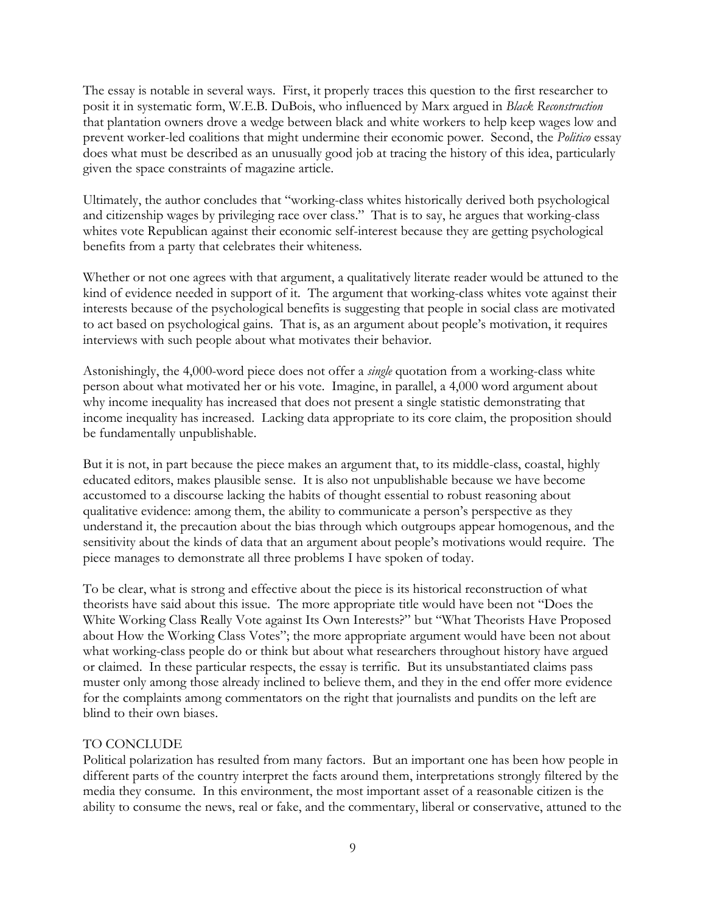The essay is notable in several ways. First, it properly traces this question to the first researcher to posit it in systematic form, W.E.B. DuBois, who influenced by Marx argued in *Black Reconstruction* that plantation owners drove a wedge between black and white workers to help keep wages low and prevent worker-led coalitions that might undermine their economic power. Second, the *Politico* essay does what must be described as an unusually good job at tracing the history of this idea, particularly given the space constraints of magazine article.

Ultimately, the author concludes that "working-class whites historically derived both psychological and citizenship wages by privileging race over class." That is to say, he argues that working-class whites vote Republican against their economic self-interest because they are getting psychological benefits from a party that celebrates their whiteness.

Whether or not one agrees with that argument, a qualitatively literate reader would be attuned to the kind of evidence needed in support of it. The argument that working-class whites vote against their interests because of the psychological benefits is suggesting that people in social class are motivated to act based on psychological gains. That is, as an argument about people's motivation, it requires interviews with such people about what motivates their behavior.

Astonishingly, the 4,000-word piece does not offer a *single* quotation from a working-class white person about what motivated her or his vote. Imagine, in parallel, a 4,000 word argument about why income inequality has increased that does not present a single statistic demonstrating that income inequality has increased. Lacking data appropriate to its core claim, the proposition should be fundamentally unpublishable.

But it is not, in part because the piece makes an argument that, to its middle-class, coastal, highly educated editors, makes plausible sense. It is also not unpublishable because we have become accustomed to a discourse lacking the habits of thought essential to robust reasoning about qualitative evidence: among them, the ability to communicate a person's perspective as they understand it, the precaution about the bias through which outgroups appear homogenous, and the sensitivity about the kinds of data that an argument about people's motivations would require. The piece manages to demonstrate all three problems I have spoken of today.

To be clear, what is strong and effective about the piece is its historical reconstruction of what theorists have said about this issue. The more appropriate title would have been not "Does the White Working Class Really Vote against Its Own Interests?" but "What Theorists Have Proposed about How the Working Class Votes"; the more appropriate argument would have been not about what working-class people do or think but about what researchers throughout history have argued or claimed. In these particular respects, the essay is terrific. But its unsubstantiated claims pass muster only among those already inclined to believe them, and they in the end offer more evidence for the complaints among commentators on the right that journalists and pundits on the left are blind to their own biases.

### TO CONCLUDE

Political polarization has resulted from many factors. But an important one has been how people in different parts of the country interpret the facts around them, interpretations strongly filtered by the media they consume. In this environment, the most important asset of a reasonable citizen is the ability to consume the news, real or fake, and the commentary, liberal or conservative, attuned to the